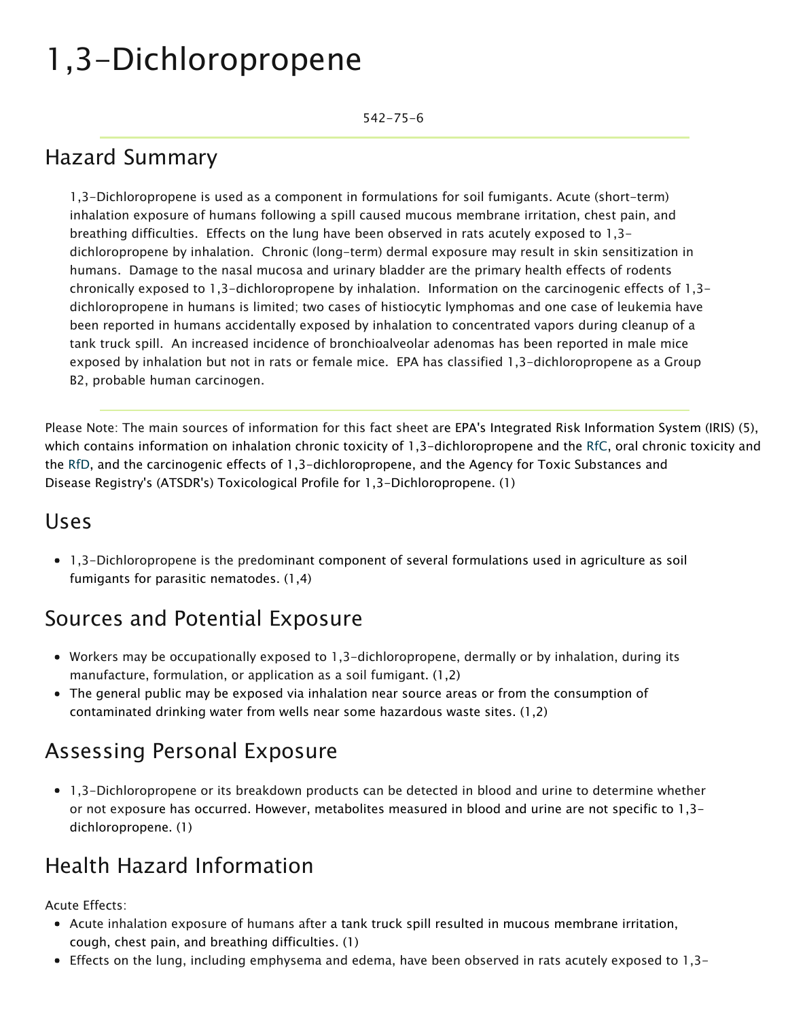# 1,3-Dichloropropene

542-75-6

### Hazard Summary

1,3-Dichloropropene is used as a component in formulations for soil fumigants. Acute (short-term) inhalation exposure of humans following a spill caused mucous membrane irritation, chest pain, and breathing difficulties. Effects on the lung have been observed in rats acutely exposed to 1,3 dichloropropene by inhalation. Chronic (long-term) dermal exposure may result in skin sensitization in humans. Damage to the nasal mucosa and urinary bladder are the primary health effects of rodents chronically exposed to 1,3-dichloropropene by inhalation. Information on the carcinogenic effects of 1,3 dichloropropene in humans is limited; two cases of histiocytic lymphomas and one case of leukemia have been reported in humans accidentally exposed by inhalation to concentrated vapors during cleanup of a tank truck spill. An increased incidence of bronchioalveolar adenomas has been reported in male mice exposed by inhalation but not in rats or female mice. EPA has classified 1,3-dichloropropene as a Group B2, probable human carcinogen.

Please Note: The main sources of information for this fact sheet are EPA's Integrated Risk Information System (IRIS) (5), which contains information on inhalation chronic toxicity of 1,3-dichloropropene and the [RfC](https://www.epa.gov/haps/health-effects-notebook-glossary), oral chronic toxicity and the RfD, [and](https://www.epa.gov/haps/health-effects-notebook-glossary) the carcinogenic effects of 1,3-dichloropropene, and the Agency for Toxic Substances and Disease Registry's (ATSDR's) Toxicological Profile for 1,3-Dichloropropene. (1)

#### Uses

1,3-Dichloropropene is the predominant component of several formulations used in agriculture as soil fumigants for parasitic nematodes. (1,4)

#### Sources and Potential Exposure

- Workers may be occupationally exposed to 1,3-dichloropropene, dermally or by inhalation, during its manufacture, formulation, or application as a soil fumigant. (1,2)
- The general public may be exposed via inhalation near source areas or from the consumption of contaminated drinking water from wells near some hazardous waste sites. (1,2)

### Assessing Personal Exposure

1,3-Dichloropropene or its breakdown products can be detected in blood and urine to determine whether or not exposure has occurred. However, metabolites measured in blood and urine are not specific to 1,3 dichloropropene. (1)

### Health Hazard Information

Acute Effects:

- Acute inhalation exposure of humans after a tank truck spill resulted in mucous membrane irritation, cough, chest pain, and breathing difficulties. (1)
- Effects on the lung, including emphysema and edema, have been observed in rats acutely exposed to 1,3-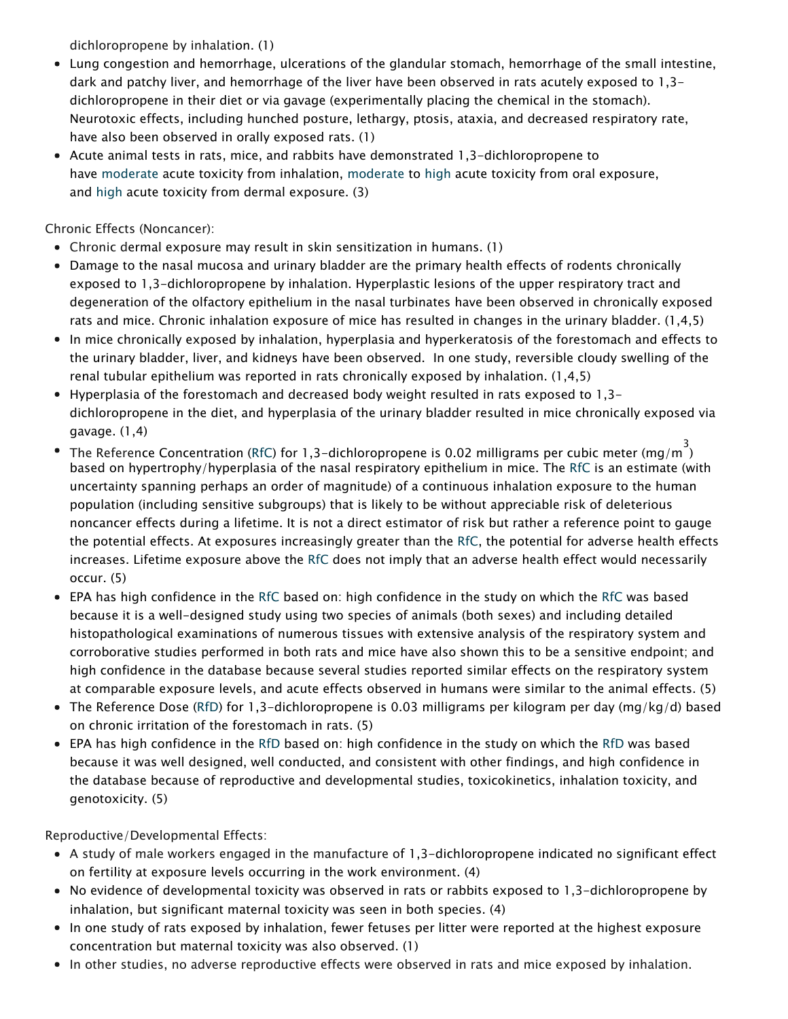dichloropropene by inhalation. (1)

- Lung congestion and hemorrhage, ulcerations of the glandular stomach, hemorrhage of the small intestine, dark and patchy liver, and hemorrhage of the liver have been observed in rats acutely exposed to 1,3 dichloropropene in their diet or via gavage (experimentally placing the chemical in the stomach). Neurotoxic effects, including hunched posture, lethargy, ptosis, ataxia, and decreased respiratory rate, have also been observed in orally exposed rats. (1)
- Acute animal tests in rats, mice, and rabbits have demonstrated 1,3-dichloropropene to have [moderate](https://www.epa.gov/haps/about-health-effects-fact-sheets) acute toxicity from inhalation, [moderate](https://www.epa.gov/haps/about-health-effects-fact-sheets) to [high](https://www.epa.gov/haps/about-health-effects-fact-sheets) acute toxicity from oral exposure, and [high](https://www.epa.gov/haps/about-health-effects-fact-sheets) acute toxicity from dermal exposure. (3)

Chronic Effects (Noncancer):

- Chronic dermal exposure may result in skin sensitization in humans. (1)
- Damage to the nasal mucosa and urinary bladder are the primary health effects of rodents chronically exposed to 1,3-dichloropropene by inhalation. Hyperplastic lesions of the upper respiratory tract and degeneration of the olfactory epithelium in the nasal turbinates have been observed in chronically exposed rats and mice. Chronic inhalation exposure of mice has resulted in changes in the urinary bladder. (1,4,5)
- In mice chronically exposed by inhalation, hyperplasia and hyperkeratosis of the forestomach and effects to the urinary bladder, liver, and kidneys have been observed. In one study, reversible cloudy swelling of the renal tubular epithelium was reported in rats chronically exposed by inhalation. (1,4,5)
- Hyperplasia of the forestomach and decreased body weight resulted in rats exposed to 1,3 dichloropropene in the diet, and hyperplasia of the urinary bladder resulted in mice chronically exposed via gavage. (1,4)
- The Reference Concentration ([RfC](https://www.epa.gov/haps/health-effects-notebook-glossary)) for 1,3-dichloropropene is 0.02 milligrams per cubic meter (mg/m 3 ) based on hypertrophy/hyperplasia of the nasal respiratory epithelium in mice. The [RfC](https://www.epa.gov/haps/health-effects-notebook-glossary) is an estimate (with uncertainty spanning perhaps an order of magnitude) of a continuous inhalation exposure to the human population (including sensitive subgroups) that is likely to be without appreciable risk of deleterious noncancer effects during a lifetime. It is not a direct estimator of risk but rather a reference point to gauge the potential effects. At exposures increasingly greater than the [RfC](https://www.epa.gov/haps/health-effects-notebook-glossary), the potential for adverse health effects increases. Lifetime exposure above the [RfC](https://www.epa.gov/haps/health-effects-notebook-glossary) does not imply that an adverse health effect would necessarily occur. (5)
- EPA has high confidence in the [RfC](https://www.epa.gov/haps/health-effects-notebook-glossary) based on: high confidence in the study on which the [RfC](https://www.epa.gov/haps/health-effects-notebook-glossary) was based because it is a well-designed study using two species of animals (both sexes) and including detailed histopathological examinations of numerous tissues with extensive analysis of the respiratory system and corroborative studies performed in both rats and mice have also shown this to be a sensitive endpoint; and high confidence in the database because several studies reported similar effects on the respiratory system at comparable exposure levels, and acute effects observed in humans were similar to the animal effects. (5)
- The Reference Dose [\(RfD\)](https://www.epa.gov/haps/health-effects-notebook-glossary) for 1,3-dichloropropene is 0.03 milligrams per kilogram per day (mg/kg/d) based on chronic irritation of the forestomach in rats. (5)
- EPA has high confidence in the [RfD](https://www.epa.gov/haps/health-effects-notebook-glossary) based on: high confidence in the study on which the [RfD](https://www.epa.gov/haps/health-effects-notebook-glossary) was based because it was well designed, well conducted, and consistent with other findings, and high confidence in the database because of reproductive and developmental studies, toxicokinetics, inhalation toxicity, and genotoxicity. (5)

Reproductive/Developmental Effects:

- A study of male workers engaged in the manufacture of 1,3-dichloropropene indicated no significant effect on fertility at exposure levels occurring in the work environment. (4)
- No evidence of developmental toxicity was observed in rats or rabbits exposed to 1,3-dichloropropene by inhalation, but significant maternal toxicity was seen in both species. (4)
- In one study of rats exposed by inhalation, fewer fetuses per litter were reported at the highest exposure concentration but maternal toxicity was also observed. (1)
- In other studies, no adverse reproductive effects were observed in rats and mice exposed by inhalation.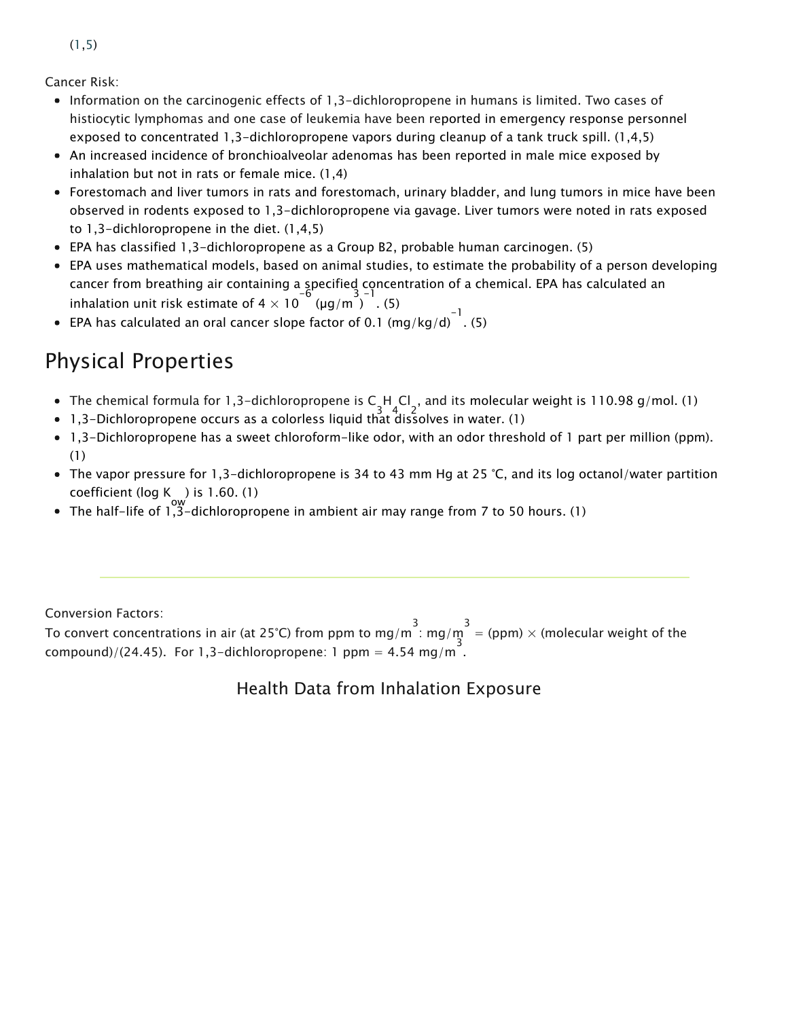Cancer Risk:

- Information on the carcinogenic effects of 1,3-dichloropropene in humans is limited. Two cases of histiocytic lymphomas and one case of leukemia have been reported in emergency response personnel exposed to concentrated 1,3-dichloropropene vapors during cleanup of a tank truck spill. (1,4,5)
- An increased incidence of bronchioalveolar adenomas has been reported in male mice exposed by inhalation but not in rats or female mice. (1,4)
- Forestomach and liver tumors in rats and forestomach, urinary bladder, and lung tumors in mice have been observed in rodents exposed to 1,3-dichloropropene via gavage. Liver tumors were noted in rats exposed to 1,3-dichloropropene in the diet. (1,4,5)
- EPA has classified 1,3-dichloropropene as a Group B2, probable human carcinogen. (5)
- EPA uses mathematical models, based on animal studies, to estimate the probability of a person developing cancer from breathing air containing a specified concentration of a chemical. EPA has calculated an inhalation unit risk estimate of  $4 \times 10^{-6}$  (µg/m)  $^{3}$  . (5)
- EPA has calculated an oral cancer slope factor of 0.1 (mg/kg/d) $^{-1}$ . (5)

## Physical Properties

- The chemical formula for 1,3-dichloropropene is C H Cl , and its molecular weight is 110.98 g/mol. (1)<br>die Richte
- 1,3-Dichloropropene occurs as a colorless liquid that dissolves in water. (1)
- 1,3-Dichloropropene has a sweet chloroform-like odor, with an odor threshold of 1 part per million (ppm). (1)
- The vapor pressure for 1,3-dichloropropene is 34 to 43 mm Hg at 25 °C, and its log octanol/water partition coefficient (log K ) is 1.60. (1)<br>The definition of t<sup>ow</sup> the definition
- The half-life of 1,3-dichloropropene in ambient air may range from 7 to 50 hours. (1)

Conversion Factors:

To convert concentrations in air (at 25°C) from ppm to mg/m<sup>3</sup>: mg/m<sup>3</sup> = (ppm) × (molecular weight of the  $\mathsf{compound}) / (24.45)$ . For 1,3-dichloropropene: 1 ppm = 4.54 mg/m.

#### Health Data from Inhalation Exposure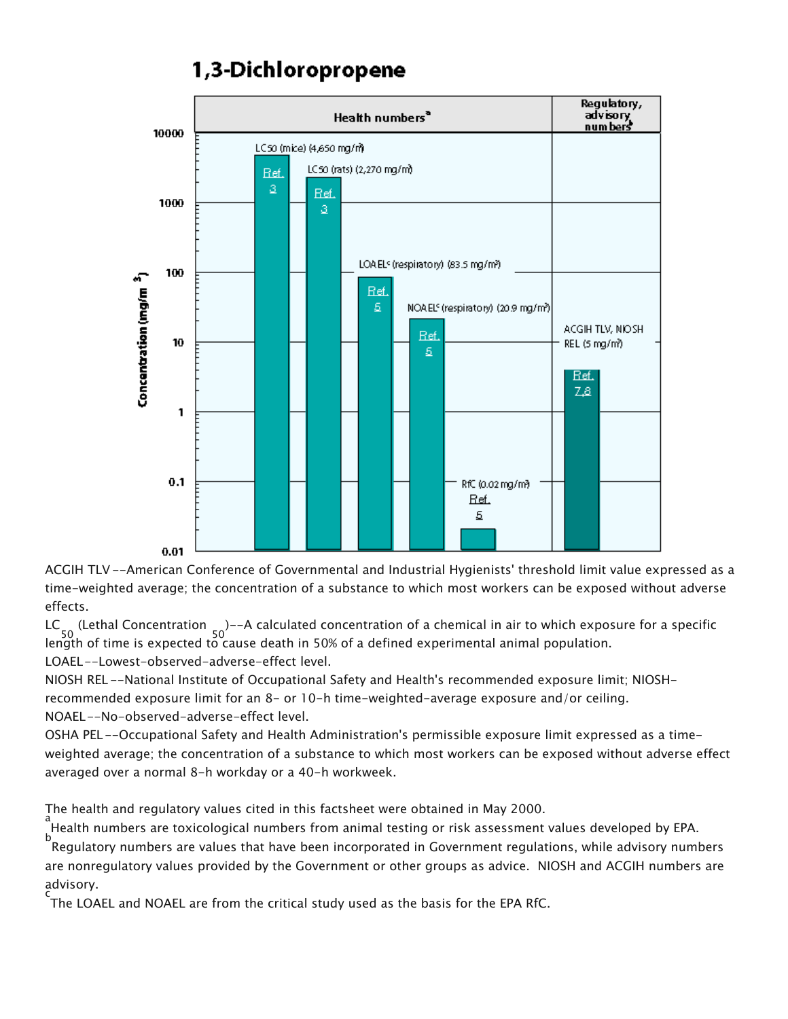### 1,3-Dichloropropene



ACGIH TLV --American Conference of Governmental and Industrial Hygienists' threshold limit value expressed as a time-weighted average; the concentration of a substance to which most workers can be exposed without adverse effects.

LC 50 (Lethal Concentration 50 )--A calculated concentration of a chemical in air to which exposure for a specific length of time is expected to cause death in 50% of a defined experimental animal population. LOAEL--Lowest-observed-adverse-effect level.

NIOSH REL --National Institute of Occupational Safety and Health's recommended exposure limit; NIOSHrecommended exposure limit for an 8- or 10-h time-weighted-average exposure and/or ceiling. NOAEL--No-observed-adverse-effect level.

OSHA PEL--Occupational Safety and Health Administration's permissible exposure limit expressed as a timeweighted average; the concentration of a substance to which most workers can be exposed without adverse effect averaged over a normal 8-h workday or a 40-h workweek.

The health and regulatory values cited in this factsheet were obtained in May 2000.

a<br>Health numbers are toxicological numbers from animal testing or risk assessment values developed by EPA.

b Regulatory numbers are values that have been incorporated in Government regulations, while advisory numbers are nonregulatory values provided by the Government or other groups as advice. NIOSH and ACGIH numbers are advisory.

c<br>The LOAEL and NOAEL are from the critical study used as the basis for the EPA RfC.